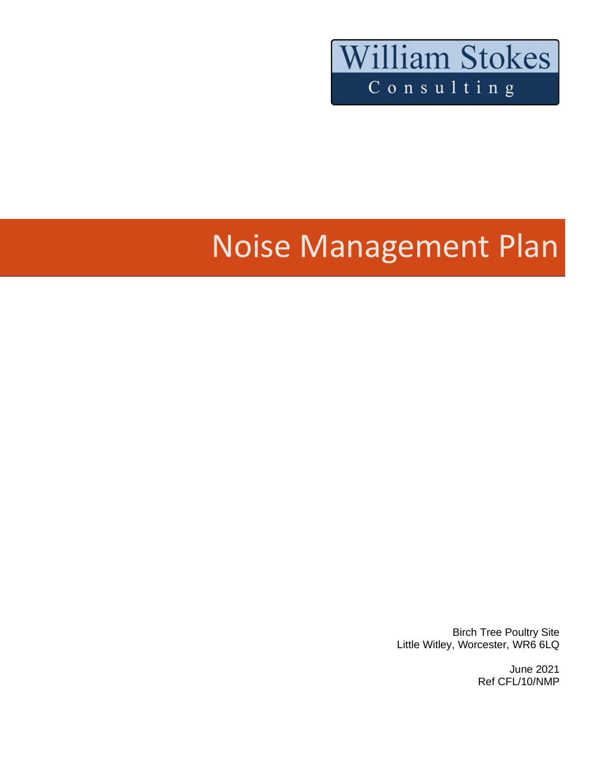

# Noise Management Plan

Birch Tree Poultry Site Little Witley, Worcester, WR6 6LQ

> June 2021 Ref CFL/10/NMP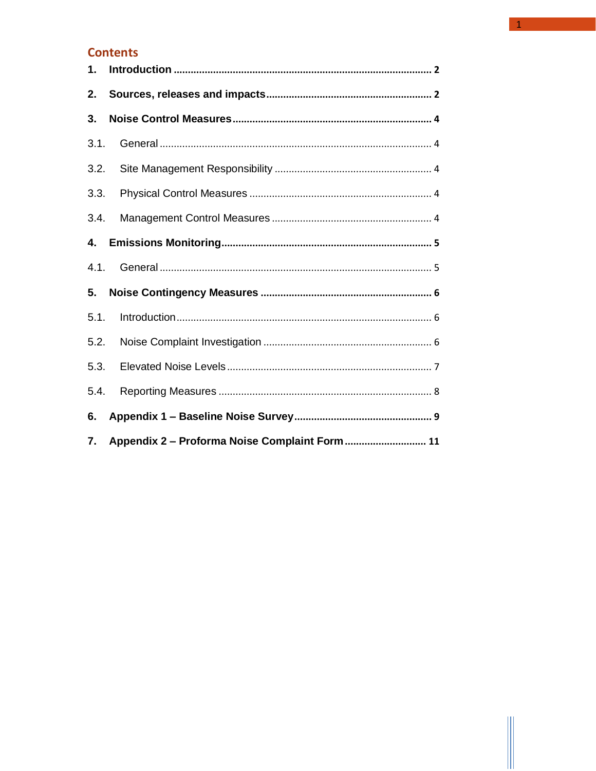#### **Contents**

| 1.   |                                                |  |  |  |  |
|------|------------------------------------------------|--|--|--|--|
| 2.   |                                                |  |  |  |  |
| 3.   |                                                |  |  |  |  |
| 3.1. |                                                |  |  |  |  |
| 3.2. |                                                |  |  |  |  |
| 3.3. |                                                |  |  |  |  |
| 3.4. |                                                |  |  |  |  |
| 4.   |                                                |  |  |  |  |
| 4.1. |                                                |  |  |  |  |
| 5.   |                                                |  |  |  |  |
| 5.1. |                                                |  |  |  |  |
| 5.2. |                                                |  |  |  |  |
| 5.3. |                                                |  |  |  |  |
| 5.4. |                                                |  |  |  |  |
| 6.   |                                                |  |  |  |  |
| 7.   | Appendix 2 - Proforma Noise Complaint Form  11 |  |  |  |  |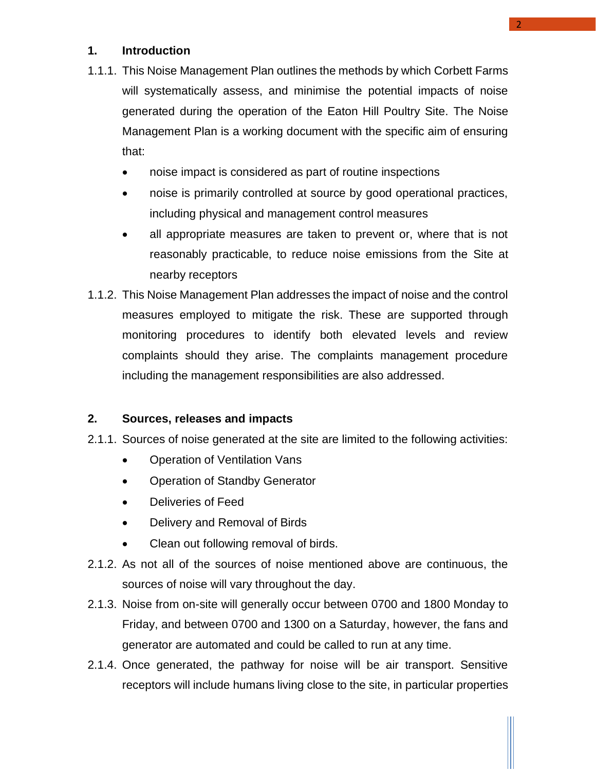#### <span id="page-2-0"></span>**1. Introduction**

- 1.1.1. This Noise Management Plan outlines the methods by which Corbett Farms will systematically assess, and minimise the potential impacts of noise generated during the operation of the Eaton Hill Poultry Site. The Noise Management Plan is a working document with the specific aim of ensuring that:
	- noise impact is considered as part of routine inspections
	- noise is primarily controlled at source by good operational practices, including physical and management control measures
	- all appropriate measures are taken to prevent or, where that is not reasonably practicable, to reduce noise emissions from the Site at nearby receptors
- 1.1.2. This Noise Management Plan addresses the impact of noise and the control measures employed to mitigate the risk. These are supported through monitoring procedures to identify both elevated levels and review complaints should they arise. The complaints management procedure including the management responsibilities are also addressed.

#### <span id="page-2-1"></span>**2. Sources, releases and impacts**

- 2.1.1. Sources of noise generated at the site are limited to the following activities:
	- Operation of Ventilation Vans
	- Operation of Standby Generator
	- Deliveries of Feed
	- Delivery and Removal of Birds
	- Clean out following removal of birds.
- 2.1.2. As not all of the sources of noise mentioned above are continuous, the sources of noise will vary throughout the day.
- 2.1.3. Noise from on-site will generally occur between 0700 and 1800 Monday to Friday, and between 0700 and 1300 on a Saturday, however, the fans and generator are automated and could be called to run at any time.
- 2.1.4. Once generated, the pathway for noise will be air transport. Sensitive receptors will include humans living close to the site, in particular properties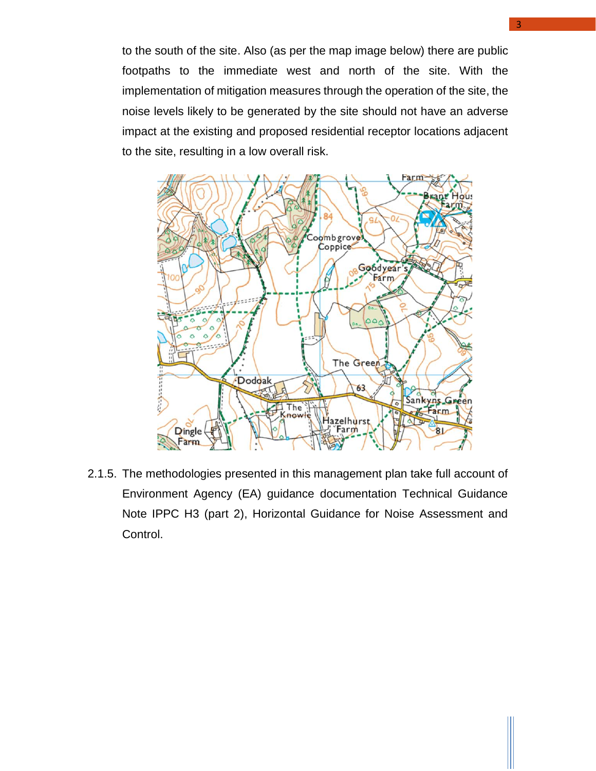to the south of the site. Also (as per the map image below) there are public footpaths to the immediate west and north of the site. With the implementation of mitigation measures through the operation of the site, the noise levels likely to be generated by the site should not have an adverse impact at the existing and proposed residential receptor locations adjacent to the site, resulting in a low overall risk.



<span id="page-3-0"></span>2.1.5. The methodologies presented in this management plan take full account of Environment Agency (EA) guidance documentation Technical Guidance Note IPPC H3 (part 2), Horizontal Guidance for Noise Assessment and Control.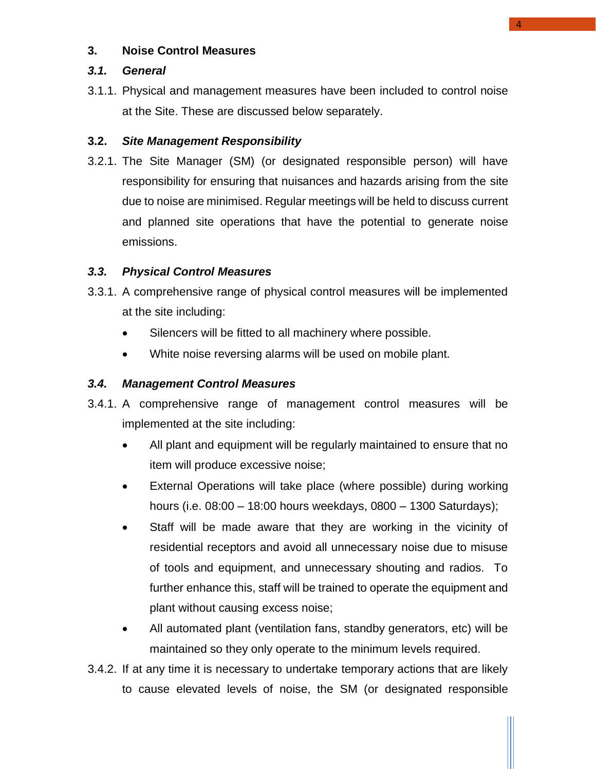#### **3. Noise Control Measures**

#### <span id="page-4-0"></span>*3.1. General*

3.1.1. Physical and management measures have been included to control noise at the Site. These are discussed below separately.

#### <span id="page-4-1"></span>**3.2.** *Site Management Responsibility*

3.2.1. The Site Manager (SM) (or designated responsible person) will have responsibility for ensuring that nuisances and hazards arising from the site due to noise are minimised. Regular meetings will be held to discuss current and planned site operations that have the potential to generate noise emissions.

#### <span id="page-4-2"></span>*3.3. Physical Control Measures*

- 3.3.1. A comprehensive range of physical control measures will be implemented at the site including:
	- Silencers will be fitted to all machinery where possible.
	- White noise reversing alarms will be used on mobile plant.

#### <span id="page-4-3"></span>*3.4. Management Control Measures*

- 3.4.1. A comprehensive range of management control measures will be implemented at the site including:
	- All plant and equipment will be regularly maintained to ensure that no item will produce excessive noise;
	- External Operations will take place (where possible) during working hours (i.e. 08:00 – 18:00 hours weekdays, 0800 – 1300 Saturdays);
	- Staff will be made aware that they are working in the vicinity of residential receptors and avoid all unnecessary noise due to misuse of tools and equipment, and unnecessary shouting and radios. To further enhance this, staff will be trained to operate the equipment and plant without causing excess noise;
	- All automated plant (ventilation fans, standby generators, etc) will be maintained so they only operate to the minimum levels required.
- 3.4.2. If at any time it is necessary to undertake temporary actions that are likely to cause elevated levels of noise, the SM (or designated responsible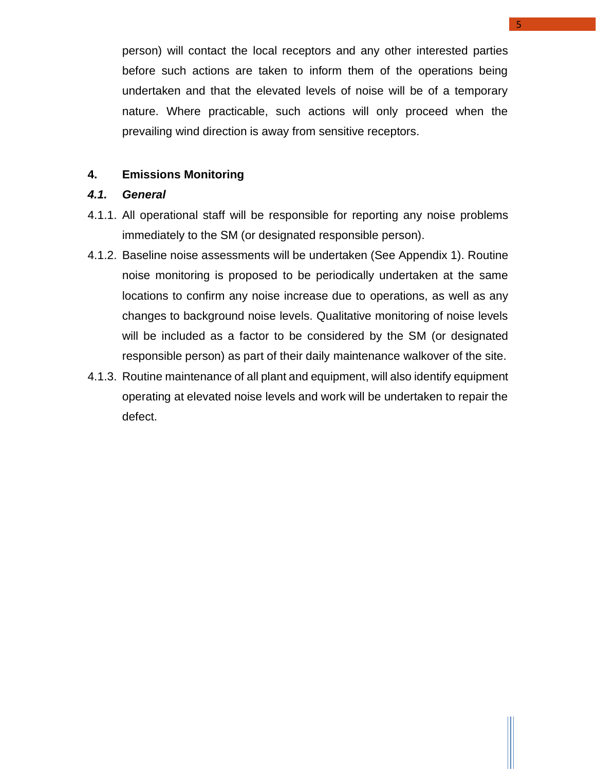person) will contact the local receptors and any other interested parties before such actions are taken to inform them of the operations being undertaken and that the elevated levels of noise will be of a temporary nature. Where practicable, such actions will only proceed when the prevailing wind direction is away from sensitive receptors.

#### <span id="page-5-0"></span>**4. Emissions Monitoring**

#### <span id="page-5-1"></span>*4.1. General*

- 4.1.1. All operational staff will be responsible for reporting any noise problems immediately to the SM (or designated responsible person).
- 4.1.2. Baseline noise assessments will be undertaken (See Appendix 1). Routine noise monitoring is proposed to be periodically undertaken at the same locations to confirm any noise increase due to operations, as well as any changes to background noise levels. Qualitative monitoring of noise levels will be included as a factor to be considered by the SM (or designated responsible person) as part of their daily maintenance walkover of the site.
- 4.1.3. Routine maintenance of all plant and equipment, will also identify equipment operating at elevated noise levels and work will be undertaken to repair the defect.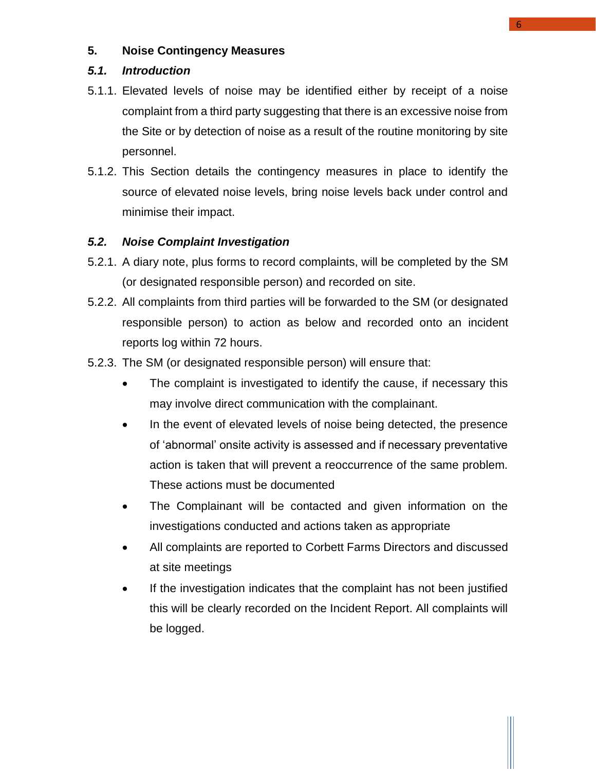#### <span id="page-6-0"></span>**5. Noise Contingency Measures**

#### <span id="page-6-1"></span>*5.1. Introduction*

- 5.1.1. Elevated levels of noise may be identified either by receipt of a noise complaint from a third party suggesting that there is an excessive noise from the Site or by detection of noise as a result of the routine monitoring by site personnel.
- 5.1.2. This Section details the contingency measures in place to identify the source of elevated noise levels, bring noise levels back under control and minimise their impact.

#### <span id="page-6-2"></span>*5.2. Noise Complaint Investigation*

- 5.2.1. A diary note, plus forms to record complaints, will be completed by the SM (or designated responsible person) and recorded on site.
- 5.2.2. All complaints from third parties will be forwarded to the SM (or designated responsible person) to action as below and recorded onto an incident reports log within 72 hours.
- 5.2.3. The SM (or designated responsible person) will ensure that:
	- The complaint is investigated to identify the cause, if necessary this may involve direct communication with the complainant.
	- In the event of elevated levels of noise being detected, the presence of 'abnormal' onsite activity is assessed and if necessary preventative action is taken that will prevent a reoccurrence of the same problem. These actions must be documented
	- The Complainant will be contacted and given information on the investigations conducted and actions taken as appropriate
	- All complaints are reported to Corbett Farms Directors and discussed at site meetings
	- If the investigation indicates that the complaint has not been justified this will be clearly recorded on the Incident Report. All complaints will be logged.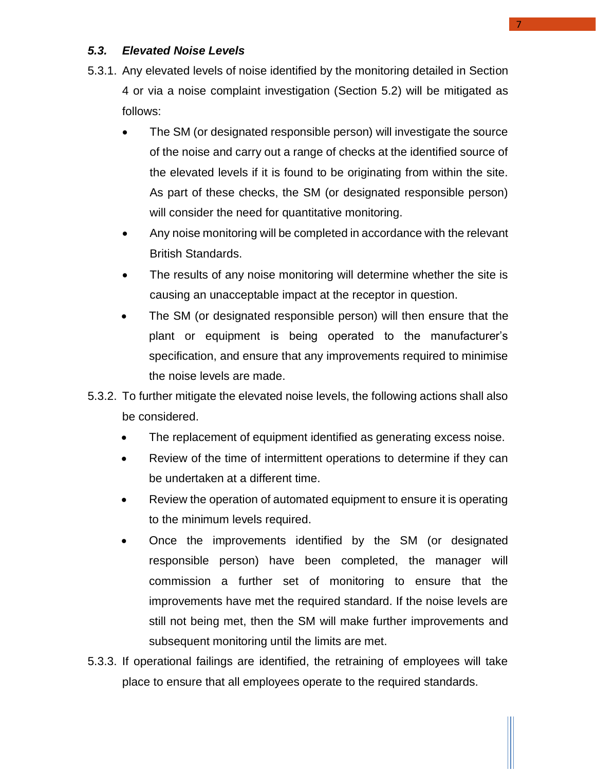#### <span id="page-7-0"></span>*5.3. Elevated Noise Levels*

- 5.3.1. Any elevated levels of noise identified by the monitoring detailed in Section 4 or via a noise complaint investigation (Section 5.2) will be mitigated as follows:
	- The SM (or designated responsible person) will investigate the source of the noise and carry out a range of checks at the identified source of the elevated levels if it is found to be originating from within the site. As part of these checks, the SM (or designated responsible person) will consider the need for quantitative monitoring.
	- Any noise monitoring will be completed in accordance with the relevant British Standards.
	- The results of any noise monitoring will determine whether the site is causing an unacceptable impact at the receptor in question.
	- The SM (or designated responsible person) will then ensure that the plant or equipment is being operated to the manufacturer's specification, and ensure that any improvements required to minimise the noise levels are made.
- 5.3.2. To further mitigate the elevated noise levels, the following actions shall also be considered.
	- The replacement of equipment identified as generating excess noise.
	- Review of the time of intermittent operations to determine if they can be undertaken at a different time.
	- Review the operation of automated equipment to ensure it is operating to the minimum levels required.
	- Once the improvements identified by the SM (or designated responsible person) have been completed, the manager will commission a further set of monitoring to ensure that the improvements have met the required standard. If the noise levels are still not being met, then the SM will make further improvements and subsequent monitoring until the limits are met.
- 5.3.3. If operational failings are identified, the retraining of employees will take place to ensure that all employees operate to the required standards.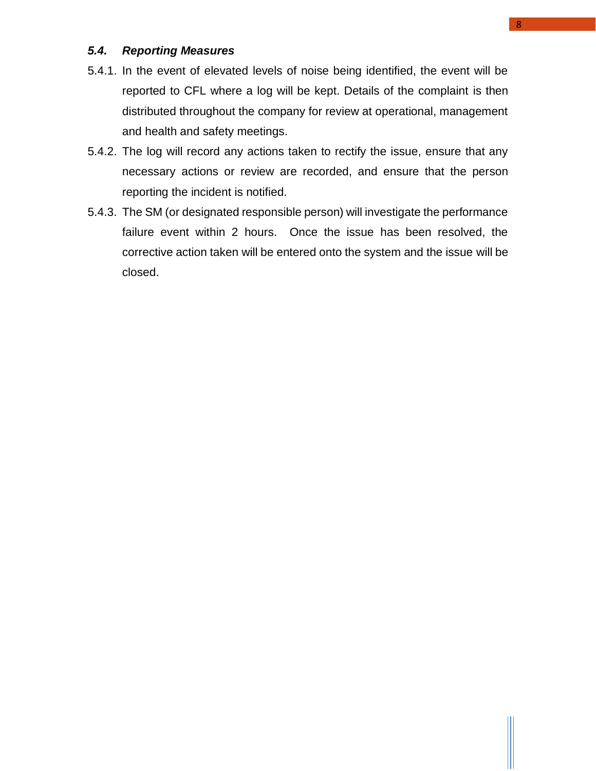#### <span id="page-8-0"></span>*5.4. Reporting Measures*

- 5.4.1. In the event of elevated levels of noise being identified, the event will be reported to CFL where a log will be kept. Details of the complaint is then distributed throughout the company for review at operational, management and health and safety meetings.
- 5.4.2. The log will record any actions taken to rectify the issue, ensure that any necessary actions or review are recorded, and ensure that the person reporting the incident is notified.
- 5.4.3. The SM (or designated responsible person) will investigate the performance failure event within 2 hours. Once the issue has been resolved, the corrective action taken will be entered onto the system and the issue will be closed.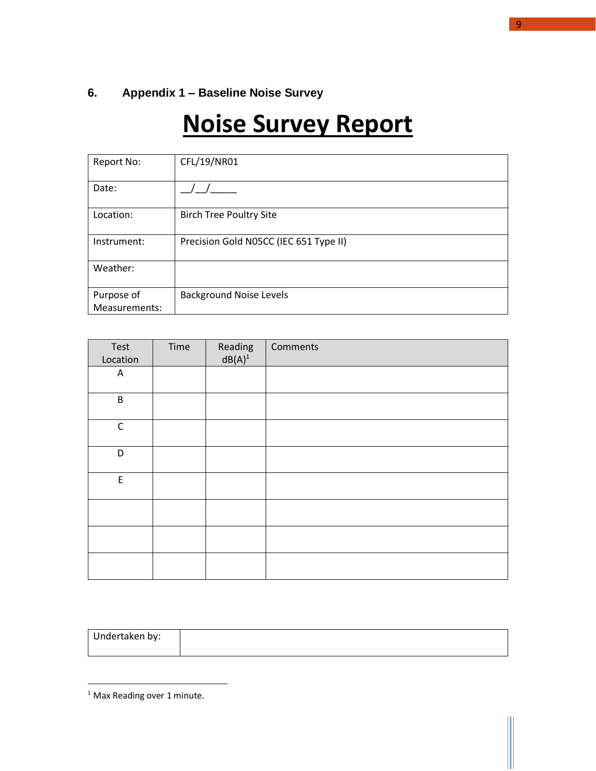### <span id="page-9-0"></span>**6. Appendix 1 – Baseline Noise Survey**

## **Noise Survey Report**

| Report No:    | CFL/19/NR01                            |
|---------------|----------------------------------------|
| Date:         |                                        |
| Location:     | <b>Birch Tree Poultry Site</b>         |
| Instrument:   | Precision Gold N05CC (IEC 651 Type II) |
| Weather:      |                                        |
| Purpose of    | <b>Background Noise Levels</b>         |
| Measurements: |                                        |

| Test<br>Location                               | Time | Reading<br>$dB(A)^1$ | Comments |
|------------------------------------------------|------|----------------------|----------|
| A                                              |      |                      |          |
| $\sf B$                                        |      |                      |          |
| $\mathsf C$                                    |      |                      |          |
| D                                              |      |                      |          |
| $\mathsf{E}% _{0}\left( \mathsf{E}_{0}\right)$ |      |                      |          |
|                                                |      |                      |          |
|                                                |      |                      |          |
|                                                |      |                      |          |

| Undertaken by: |  |
|----------------|--|
|                |  |

9

<sup>1</sup> Max Reading over 1 minute.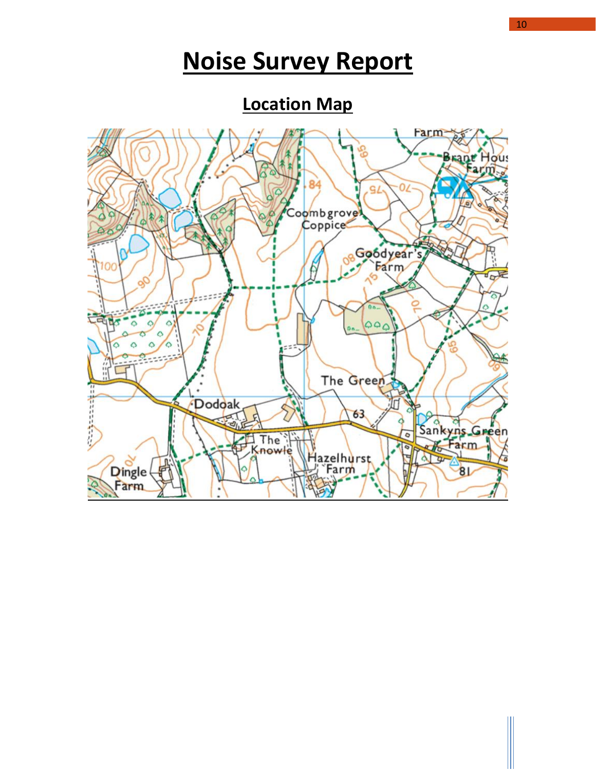## **Noise Survey Report**

**Location Map**